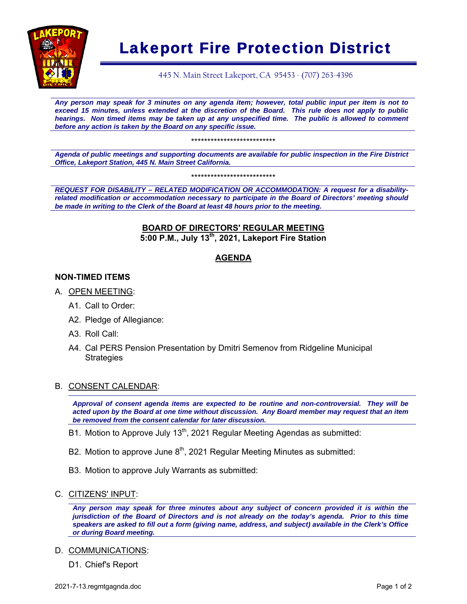

# Lakeport Fire Protection District

445 N. Main Street Lakeport, CA 95453 - (707) 263-4396

*Any person may speak for 3 minutes on any agenda item; however, total public input per item is not to exceed 15 minutes, unless extended at the discretion of the Board. This rule does not apply to public hearings. Non timed items may be taken up at any unspecified time. The public is allowed to comment before any action is taken by the Board on any specific issue.* 

\*\*\*\*\*\*\*\*\*\*\*\*\*\*\*\*\*\*\*\*\*\*\*\*\*\*

*Agenda of public meetings and supporting documents are available for public inspection in the Fire District Office, Lakeport Station, 445 N. Main Street California.* 

\*\*\*\*\*\*\*\*\*\*\*\*\*\*\*\*\*\*\*\*\*\*\*\*\*\*

*REQUEST FOR DISABILITY – RELATED MODIFICATION OR ACCOMMODATION: A request for a disabilityrelated modification or accommodation necessary to participate in the Board of Directors' meeting should be made in writing to the Clerk of the Board at least 48 hours prior to the meeting.* 

## **BOARD OF DIRECTORS' REGULAR MEETING 5:00 P.M., July 13th, 2021, Lakeport Fire Station**

# **AGENDA**

## **NON-TIMED ITEMS**

- A. OPEN MEETING:
	- A1. Call to Order:
	- A2. Pledge of Allegiance:
	- A3. Roll Call:
	- A4. Cal PERS Pension Presentation by Dmitri Semenov from Ridgeline Municipal Strategies

#### B. CONSENT CALENDAR:

*Approval of consent agenda items are expected to be routine and non-controversial. They will be acted upon by the Board at one time without discussion. Any Board member may request that an item be removed from the consent calendar for later discussion.*

- B1. Motion to Approve July  $13<sup>th</sup>$ , 2021 Regular Meeting Agendas as submitted:
- B2. Motion to approve June  $8<sup>th</sup>$ , 2021 Regular Meeting Minutes as submitted:
- B3. Motion to approve July Warrants as submitted:
- C. CITIZENS' INPUT:

*Any person may speak for three minutes about any subject of concern provided it is within the jurisdiction of the Board of Directors and is not already on the today's agenda. Prior to this time speakers are asked to fill out a form (giving name, address, and subject) available in the Clerk's Office or during Board meeting.* 

D. COMMUNICATIONS:

D1. Chief's Report